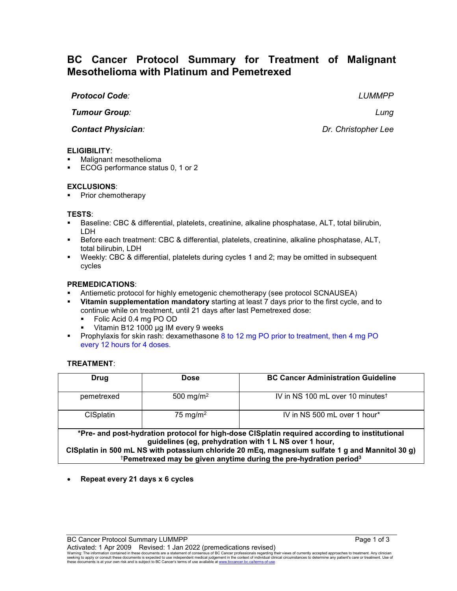# **BC Cancer Protocol Summary for Treatment of Malignant Mesothelioma with Platinum and Pemetrexed**

# *Protocol Code: LUMMPP*

*Tumour Group: Lung*

**Contact Physician**: **Dr. Christopher Lee** 

# **ELIGIBILITY**:

- Malignant mesothelioma
- ECOG performance status 0, 1 or 2

### **EXCLUSIONS**:

Prior chemotherapy

### **TESTS**:

- Baseline: CBC & differential, platelets, creatinine, alkaline phosphatase, ALT, total bilirubin, LDH
- Before each treatment: CBC & differential, platelets, creatinine, alkaline phosphatase, ALT, total bilirubin, LDH
- Weekly: CBC & differential, platelets during cycles 1 and 2; may be omitted in subsequent cycles

### **PREMEDICATIONS**:

- Antiemetic protocol for highly emetogenic chemotherapy (see protocol SCNAUSEA)
- **Vitamin supplementation mandatory** starting at least 7 days prior to the first cycle, and to continue while on treatment, until 21 days after last Pemetrexed dose:
	- Folic Acid 0.4 mg PO OD
	- Vitamin B12 1000 µg IM every 9 weeks
- **Prophylaxis for skin rash: dexamethasone 8 to 12 mg PO prior to treatment, then 4 mg PO** every 12 hours for 4 doses.

# **TREATMENT**:

| Drug                                                                                                                                                                                                                                                                                                                                                   | <b>Dose</b>           | <b>BC Cancer Administration Guideline</b>    |  |  |
|--------------------------------------------------------------------------------------------------------------------------------------------------------------------------------------------------------------------------------------------------------------------------------------------------------------------------------------------------------|-----------------------|----------------------------------------------|--|--|
| pemetrexed                                                                                                                                                                                                                                                                                                                                             | 500 mg/m <sup>2</sup> | IV in NS 100 mL over 10 minutes <sup>t</sup> |  |  |
| <b>CISplatin</b>                                                                                                                                                                                                                                                                                                                                       | 75 mg/m <sup>2</sup>  | IV in NS 500 mL over 1 hour*                 |  |  |
| *Pre- and post-hydration protocol for high-dose CISplatin required according to institutional<br>guidelines (eg, prehydration with 1 L NS over 1 hour,<br>CISplatin in 500 mL NS with potassium chloride 20 mEq, magnesium sulfate 1 g and Mannitol 30 g)<br><sup>†</sup> Pemetrexed may be given anytime during the pre-hydration period <sup>3</sup> |                       |                                              |  |  |

• **Repeat every 21 days x 6 cycles**

Warning: The information contained in these documents are a statement of consensus of BC Cancer professionals regarding their views of currently accepted approaches to treatment. Any clinician<br>seeking to apply or consult t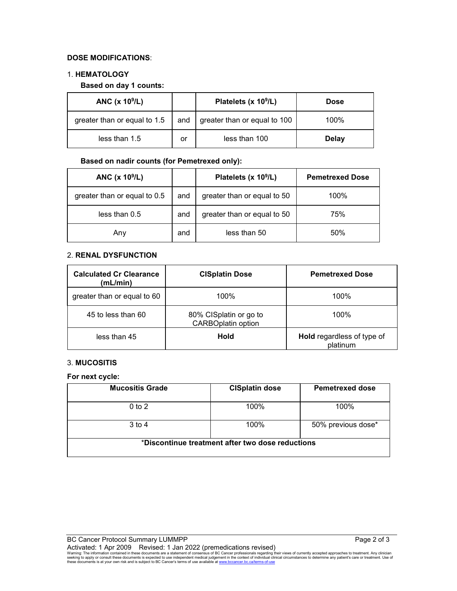# **DOSE MODIFICATIONS**:

### 1. **HEMATOLOGY**

### **Based on day 1 counts:**

| ANC $(x 109/L)$              |     | Platelets (x 10 <sup>9</sup> /L) | <b>Dose</b>  |
|------------------------------|-----|----------------------------------|--------------|
| greater than or equal to 1.5 | and | greater than or equal to 100     | 100%         |
| less than 1.5                | or  | less than 100                    | <b>Delay</b> |

# **Based on nadir counts (for Pemetrexed only):**

| ANC (x 10 <sup>9</sup> /L)   |     | Platelets (x 10 <sup>9</sup> /L) | <b>Pemetrexed Dose</b> |
|------------------------------|-----|----------------------------------|------------------------|
| greater than or equal to 0.5 | and | greater than or equal to 50      | 100%                   |
| less than 0.5                | and | greater than or equal to 50      | 75%                    |
| Any                          | and | less than 50                     | 50%                    |

# 2. **RENAL DYSFUNCTION**

| <b>Calculated Cr Clearance</b><br>(mL/min) | <b>CISplatin Dose</b>                               | <b>Pemetrexed Dose</b>                        |
|--------------------------------------------|-----------------------------------------------------|-----------------------------------------------|
| greater than or equal to 60                | 100%                                                | 100%                                          |
| 45 to less than 60                         | 80% CISplatin or go to<br><b>CARBOplatin option</b> | 100%                                          |
| less than 45                               | Hold                                                | <b>Hold</b> regardless of type of<br>platinum |

# 3. **MUCOSITIS**

**For next cycle:**

| <b>Mucositis Grade</b>                           | <b>CISplatin dose</b> | <b>Pemetrexed dose</b> |
|--------------------------------------------------|-----------------------|------------------------|
| $0$ to $2$                                       | 100%                  | 100%                   |
| $3$ to 4                                         | 100%                  | 50% previous dose*     |
| *Discontinue treatment after two dose reductions |                       |                        |

Activated: 1 Apr 2009 Revised: 1 Jan 2022 (premedications revised)<br>Warning: The information contained in these documents are a statement of consensus of BC Cancer professionals regarding their views of currently accepted a